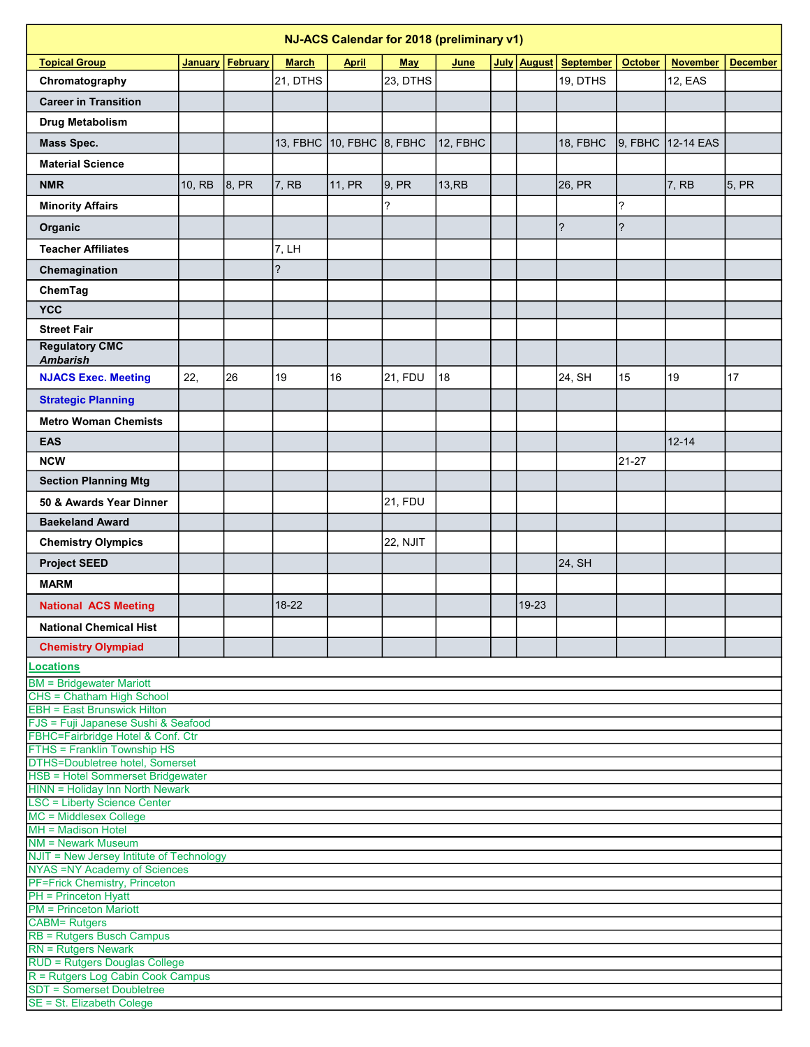| NJ-ACS Calendar for 2018 (preliminary v1)                                     |                |          |              |                           |                 |             |  |             |                  |                |                   |                 |
|-------------------------------------------------------------------------------|----------------|----------|--------------|---------------------------|-----------------|-------------|--|-------------|------------------|----------------|-------------------|-----------------|
| <b>Topical Group</b>                                                          | <b>January</b> | February | <b>March</b> | <b>April</b>              | <b>May</b>      | <u>June</u> |  | July August | <b>September</b> | <b>October</b> | <b>November</b>   | <b>December</b> |
| Chromatography                                                                |                |          | 21, DTHS     |                           | 23, DTHS        |             |  |             | 19, DTHS         |                | 12, EAS           |                 |
| <b>Career in Transition</b>                                                   |                |          |              |                           |                 |             |  |             |                  |                |                   |                 |
| Drug Metabolism                                                               |                |          |              |                           |                 |             |  |             |                  |                |                   |                 |
|                                                                               |                |          |              | 13, FBHC 10, FBHC 8, FBHC |                 | 12, FBHC    |  |             | 18, FBHC         |                | 9, FBHC 12-14 EAS |                 |
| <b>Mass Spec.</b>                                                             |                |          |              |                           |                 |             |  |             |                  |                |                   |                 |
| <b>Material Science</b>                                                       |                |          |              |                           |                 |             |  |             |                  |                |                   |                 |
| <b>NMR</b>                                                                    | 10. RB         | 8, PR    | 7, RB        | 11, PR                    | 9, PR           | $13,$ RB    |  |             | 26, PR           |                | 7, RB             | 5, PR           |
| <b>Minority Affairs</b>                                                       |                |          |              |                           | ?               |             |  |             |                  | 2              |                   |                 |
| Organic                                                                       |                |          |              |                           |                 |             |  |             | $\ddot{?}$       | $\overline{?}$ |                   |                 |
| <b>Teacher Affiliates</b>                                                     |                |          | 7, LH        |                           |                 |             |  |             |                  |                |                   |                 |
| Chemagination                                                                 |                |          | ?            |                           |                 |             |  |             |                  |                |                   |                 |
| ChemTag                                                                       |                |          |              |                           |                 |             |  |             |                  |                |                   |                 |
| <b>YCC</b>                                                                    |                |          |              |                           |                 |             |  |             |                  |                |                   |                 |
| <b>Street Fair</b>                                                            |                |          |              |                           |                 |             |  |             |                  |                |                   |                 |
| <b>Regulatory CMC</b>                                                         |                |          |              |                           |                 |             |  |             |                  |                |                   |                 |
| <b>Ambarish</b>                                                               |                |          |              |                           |                 |             |  |             |                  |                |                   |                 |
| <b>NJACS Exec. Meeting</b>                                                    | 22,            | 26       | 19           | 16                        | <b>21, FDU</b>  | 18          |  |             | 24, SH           | 15             | 19                | 17              |
| <b>Strategic Planning</b>                                                     |                |          |              |                           |                 |             |  |             |                  |                |                   |                 |
| <b>Metro Woman Chemists</b>                                                   |                |          |              |                           |                 |             |  |             |                  |                |                   |                 |
| <b>EAS</b>                                                                    |                |          |              |                           |                 |             |  |             |                  |                | $12 - 14$         |                 |
| <b>NCW</b>                                                                    |                |          |              |                           |                 |             |  |             |                  | 21-27          |                   |                 |
| <b>Section Planning Mtg</b>                                                   |                |          |              |                           |                 |             |  |             |                  |                |                   |                 |
|                                                                               |                |          |              |                           |                 |             |  |             |                  |                |                   |                 |
| 50 & Awards Year Dinner                                                       |                |          |              |                           | <b>21, FDU</b>  |             |  |             |                  |                |                   |                 |
| <b>Baekeland Award</b>                                                        |                |          |              |                           |                 |             |  |             |                  |                |                   |                 |
| <b>Chemistry Olympics</b>                                                     |                |          |              |                           | <b>22, NJIT</b> |             |  |             |                  |                |                   |                 |
| <b>Project SEED</b>                                                           |                |          |              |                           |                 |             |  |             | 24, SH           |                |                   |                 |
| <b>MARM</b>                                                                   |                |          |              |                           |                 |             |  |             |                  |                |                   |                 |
| <b>National ACS Meeting</b>                                                   |                |          | $18-22$      |                           |                 |             |  | 19-23       |                  |                |                   |                 |
| <b>National Chemical Hist</b>                                                 |                |          |              |                           |                 |             |  |             |                  |                |                   |                 |
| <b>Chemistry Olympiad</b>                                                     |                |          |              |                           |                 |             |  |             |                  |                |                   |                 |
| <b>Locations</b>                                                              |                |          |              |                           |                 |             |  |             |                  |                |                   |                 |
| <b>BM</b> = Bridgewater Mariott                                               |                |          |              |                           |                 |             |  |             |                  |                |                   |                 |
| CHS = Chatham High School                                                     |                |          |              |                           |                 |             |  |             |                  |                |                   |                 |
| <b>EBH</b> = East Brunswick Hilton<br>FJS = Fuji Japanese Sushi & Seafood     |                |          |              |                           |                 |             |  |             |                  |                |                   |                 |
| FBHC=Fairbridge Hotel & Conf. Ctr                                             |                |          |              |                           |                 |             |  |             |                  |                |                   |                 |
| FTHS = Franklin Township HS<br><b>DTHS=Doubletree hotel, Somerset</b>         |                |          |              |                           |                 |             |  |             |                  |                |                   |                 |
| <b>HSB = Hotel Sommerset Bridgewater</b>                                      |                |          |              |                           |                 |             |  |             |                  |                |                   |                 |
| <b>HINN = Holiday Inn North Newark</b><br><b>LSC = Liberty Science Center</b> |                |          |              |                           |                 |             |  |             |                  |                |                   |                 |
| MC = Middlesex College                                                        |                |          |              |                           |                 |             |  |             |                  |                |                   |                 |
| MH = Madison Hotel                                                            |                |          |              |                           |                 |             |  |             |                  |                |                   |                 |
| <b>NM = Newark Museum</b><br>NJIT = New Jersey Intitute of Technology         |                |          |              |                           |                 |             |  |             |                  |                |                   |                 |
| <b>NYAS = NY Academy of Sciences</b>                                          |                |          |              |                           |                 |             |  |             |                  |                |                   |                 |
| <b>PF=Frick Chemistry, Princeton</b><br><b>PH</b> = Princeton Hyatt           |                |          |              |                           |                 |             |  |             |                  |                |                   |                 |
| <b>PM</b> = Princeton Mariott                                                 |                |          |              |                           |                 |             |  |             |                  |                |                   |                 |
| <b>CABM= Rutgers</b><br><b>RB = Rutgers Busch Campus</b>                      |                |          |              |                           |                 |             |  |             |                  |                |                   |                 |
| <b>RN</b> = Rutgers Newark                                                    |                |          |              |                           |                 |             |  |             |                  |                |                   |                 |
| RUD = Rutgers Douglas College                                                 |                |          |              |                           |                 |             |  |             |                  |                |                   |                 |
| R = Rutgers Log Cabin Cook Campus<br><b>SDT = Somerset Doubletree</b>         |                |          |              |                           |                 |             |  |             |                  |                |                   |                 |
| SE = St. Elizabeth Colege                                                     |                |          |              |                           |                 |             |  |             |                  |                |                   |                 |